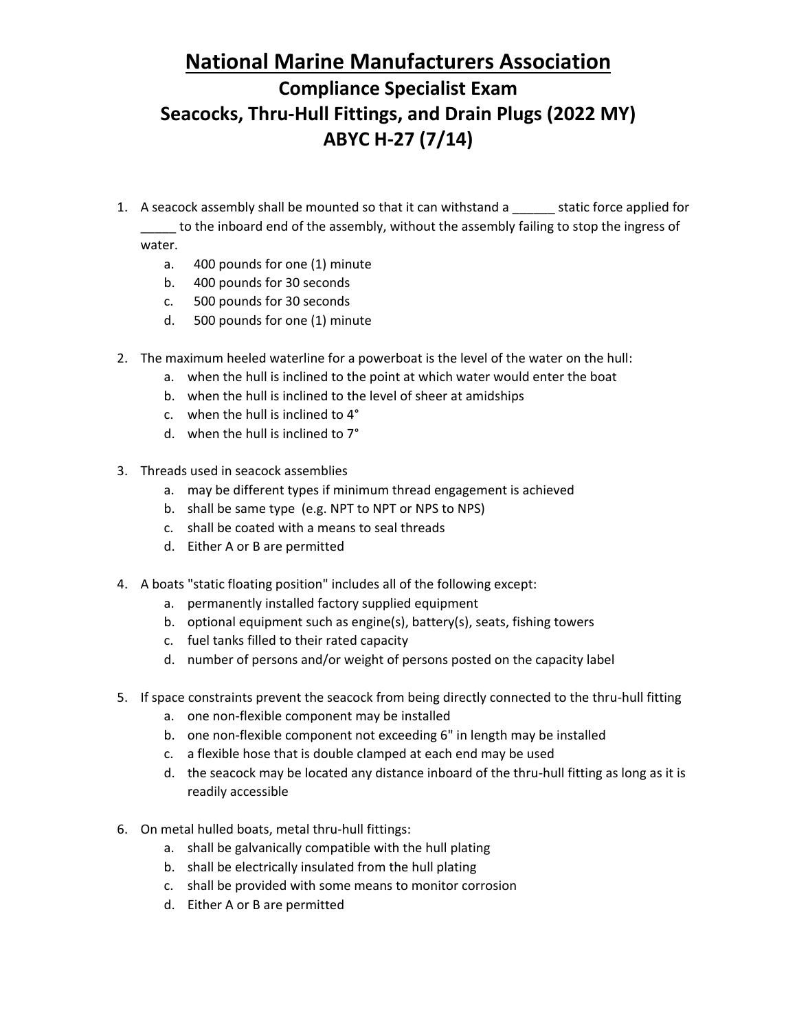## **National Marine Manufacturers Association Compliance Specialist Exam Seacocks, Thru-Hull Fittings, and Drain Plugs (2022 MY) ABYC H-27 (7/14)**

- 1. A seacock assembly shall be mounted so that it can withstand a \_\_\_\_\_\_ static force applied for \_\_\_\_\_ to the inboard end of the assembly, without the assembly failing to stop the ingress of water.
	- a. 400 pounds for one (1) minute
	- b. 400 pounds for 30 seconds
	- c. 500 pounds for 30 seconds
	- d. 500 pounds for one (1) minute
- 2. The maximum heeled waterline for a powerboat is the level of the water on the hull:
	- a. when the hull is inclined to the point at which water would enter the boat
	- b. when the hull is inclined to the level of sheer at amidships
	- c. when the hull is inclined to 4°
	- d. when the hull is inclined to 7°
- 3. Threads used in seacock assemblies
	- a. may be different types if minimum thread engagement is achieved
	- b. shall be same type (e.g. NPT to NPT or NPS to NPS)
	- c. shall be coated with a means to seal threads
	- d. Either A or B are permitted
- 4. A boats "static floating position" includes all of the following except:
	- a. permanently installed factory supplied equipment
	- b. optional equipment such as engine(s), battery(s), seats, fishing towers
	- c. fuel tanks filled to their rated capacity
	- d. number of persons and/or weight of persons posted on the capacity label
- 5. If space constraints prevent the seacock from being directly connected to the thru-hull fitting
	- a. one non-flexible component may be installed
	- b. one non-flexible component not exceeding 6" in length may be installed
	- c. a flexible hose that is double clamped at each end may be used
	- d. the seacock may be located any distance inboard of the thru-hull fitting as long as it is readily accessible
- 6. On metal hulled boats, metal thru-hull fittings:
	- a. shall be galvanically compatible with the hull plating
	- b. shall be electrically insulated from the hull plating
	- c. shall be provided with some means to monitor corrosion
	- d. Either A or B are permitted